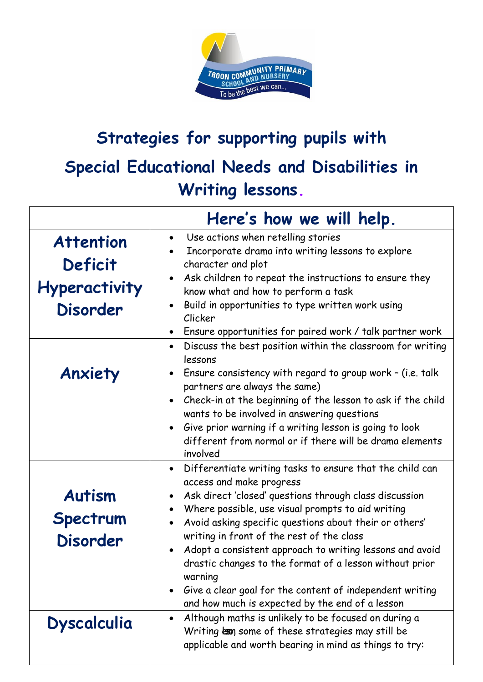

## **Strategies for supporting pupils with Special Educational Needs and Disabilities in Writing lessons.**

|                                                                        | Here's how we will help.                                                                                                                                                                                                                                                                                                                                                                                                                                                                                                                                                   |
|------------------------------------------------------------------------|----------------------------------------------------------------------------------------------------------------------------------------------------------------------------------------------------------------------------------------------------------------------------------------------------------------------------------------------------------------------------------------------------------------------------------------------------------------------------------------------------------------------------------------------------------------------------|
| <b>Attention</b><br>Deficit<br><b>Hyperactivity</b><br><b>Disorder</b> | Use actions when retelling stories<br>$\bullet$<br>Incorporate drama into writing lessons to explore<br>character and plot<br>Ask children to repeat the instructions to ensure they<br>know what and how to perform a task<br>Build in opportunities to type written work using<br>Clicker<br>Ensure opportunities for paired work / talk partner work                                                                                                                                                                                                                    |
| Anxiety                                                                | Discuss the best position within the classroom for writing<br>lessons<br>Ensure consistency with regard to group work - (i.e. talk<br>partners are always the same)<br>Check-in at the beginning of the lesson to ask if the child<br>wants to be involved in answering questions<br>Give prior warning if a writing lesson is going to look<br>different from normal or if there will be drama elements<br>involved                                                                                                                                                       |
| <b>Autism</b><br>Spectrum<br><b>Disorder</b>                           | • Differentiate writing tasks to ensure that the child can<br>access and make progress<br>Ask direct 'closed' questions through class discussion<br>Where possible, use visual prompts to aid writing<br>Avoid asking specific questions about their or others'<br>$\bullet$<br>writing in front of the rest of the class<br>Adopt a consistent approach to writing lessons and avoid<br>drastic changes to the format of a lesson without prior<br>warning<br>Give a clear goal for the content of independent writing<br>and how much is expected by the end of a lesson |
| <b>Dyscalculia</b>                                                     | Although maths is unlikely to be focused on during a<br>Writing exp some of these strategies may still be<br>applicable and worth bearing in mind as things to try:                                                                                                                                                                                                                                                                                                                                                                                                        |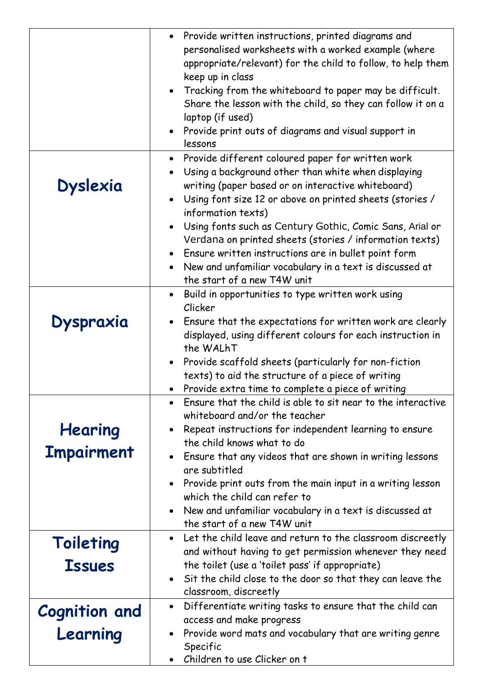|                                  | Provide written instructions, printed diagrams and<br>personalised worksheets with a worked example (where<br>appropriate/relevant) for the child to follow, to help them<br>keep up in class<br>Tracking from the whiteboard to paper may be difficult.<br>Share the lesson with the child, so they can follow it on a |
|----------------------------------|-------------------------------------------------------------------------------------------------------------------------------------------------------------------------------------------------------------------------------------------------------------------------------------------------------------------------|
|                                  | laptop (if used)<br>Provide print outs of diagrams and visual support in<br>lessons                                                                                                                                                                                                                                     |
| <b>Dyslexia</b>                  | Provide different coloured paper for written work<br>$\bullet$<br>Using a background other than white when displaying<br>writing (paper based or on interactive whiteboard)<br>Using font size 12 or above on printed sheets (stories /<br>information texts)                                                           |
|                                  | Using fonts such as Century Gothic, Comic Sans, Arial or<br>Verdana on printed sheets (stories / information texts)<br>Ensure written instructions are in bullet point form<br>New and unfamiliar vocabulary in a text is discussed at<br>the start of a new T4W unit                                                   |
| <b>Dyspraxia</b>                 | Build in opportunities to type written work using<br>$\bullet$<br>Clicker<br>Ensure that the expectations for written work are clearly<br>displayed, using different colours for each instruction in<br>the WALhT                                                                                                       |
|                                  | Provide scaffold sheets (particularly for non-fiction<br>texts) to aid the structure of a piece of writing<br>Provide extra time to complete a piece of writing                                                                                                                                                         |
| Hearing<br><b>Impairment</b>     | • Ensure that the child is able to sit near to the interactive<br>whiteboard and/or the teacher<br>Repeat instructions for independent learning to ensure<br>the child knows what to do<br>• Ensure that any videos that are shown in writing lessons<br>are subtitled                                                  |
|                                  | • Provide print outs from the main input in a writing lesson<br>which the child can refer to<br>New and unfamiliar vocabulary in a text is discussed at<br>the start of a new T4W unit                                                                                                                                  |
| Toileting<br><b>Issues</b>       | Let the child leave and return to the classroom discreetly<br>and without having to get permission whenever they need<br>the toilet (use a 'toilet pass' if appropriate)<br>Sit the child close to the door so that they can leave the<br>classroom, discreetly                                                         |
| <b>Cognition and</b><br>Learning | Differentiate writing tasks to ensure that the child can<br>$\bullet$<br>access and make progress<br>Provide word mats and vocabulary that are writing genre<br>Specific<br>Children to use Clicker on t                                                                                                                |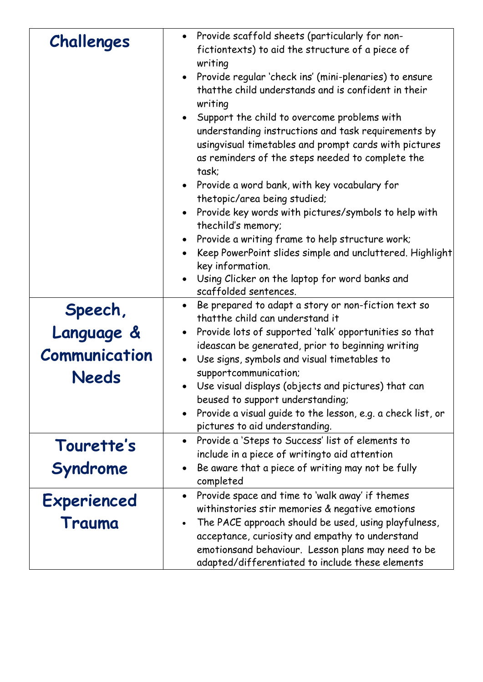|               | Provide scaffold sheets (particularly for non-                                                                  |
|---------------|-----------------------------------------------------------------------------------------------------------------|
| Challenges    | fictiontexts) to aid the structure of a piece of                                                                |
|               | writing                                                                                                         |
|               | Provide regular 'check ins' (mini-plenaries) to ensure                                                          |
|               | that the child understands and is confident in their                                                            |
|               | writing                                                                                                         |
|               | Support the child to overcome problems with                                                                     |
|               | understanding instructions and task requirements by                                                             |
|               | usingvisual timetables and prompt cards with pictures<br>as reminders of the steps needed to complete the       |
|               | task:                                                                                                           |
|               | • Provide a word bank, with key vocabulary for                                                                  |
|               | thetopic/area being studied;                                                                                    |
|               | Provide key words with pictures/symbols to help with                                                            |
|               | thechild's memory;                                                                                              |
|               | Provide a writing frame to help structure work;                                                                 |
|               | Keep PowerPoint slides simple and uncluttered. Highlight<br>key information.                                    |
|               | Using Clicker on the laptop for word banks and                                                                  |
|               | scaffolded sentences.                                                                                           |
| Speech,       | Be prepared to adapt a story or non-fiction text so<br>$\bullet$                                                |
|               | thatthe child can understand it                                                                                 |
| Language &    | Provide lots of supported 'talk' opportunities so that                                                          |
| Communication | ideascan be generated, prior to beginning writing                                                               |
|               | Use signs, symbols and visual timetables to<br>supportcommunication;                                            |
| Needs         | Use visual displays (objects and pictures) that can                                                             |
|               | beused to support understanding;                                                                                |
|               | Provide a visual guide to the lesson, e.g. a check list, or                                                     |
|               | pictures to aid understanding.                                                                                  |
| Tourette's    | Provide a 'Steps to Success' list of elements to                                                                |
|               | include in a piece of writing to aid attention                                                                  |
| Syndrome      | Be aware that a piece of writing may not be fully                                                               |
|               | completed                                                                                                       |
| Experienced   | Provide space and time to 'walk away' if themes<br>$\bullet$<br>withinstories stir memories & negative emotions |
| Trauma        | The PACE approach should be used, using playfulness,                                                            |
|               | acceptance, curiosity and empathy to understand                                                                 |
|               | emotionsand behaviour. Lesson plans may need to be                                                              |
|               | adapted/differentiated to include these elements                                                                |